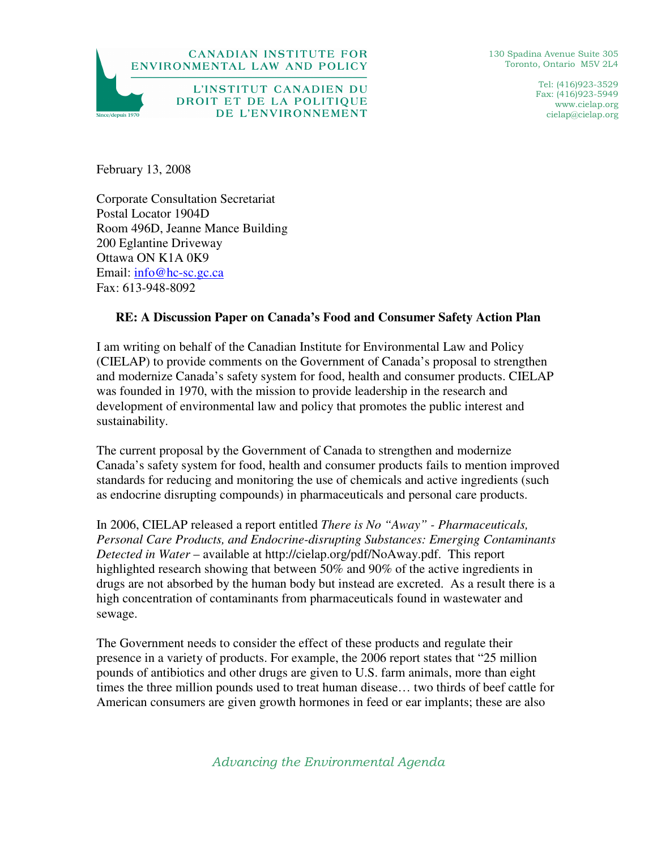

130 Spadina Avenue Suite 305 Toronto, Ontario M5V 2L4

> Tel: (416)923-3529 Fax: (416)923-5949 www.cielap.org cielap@cielap.org

February 13, 2008

Corporate Consultation Secretariat Postal Locator 1904D Room 496D, Jeanne Mance Building 200 Eglantine Driveway Ottawa ON K1A 0K9 Email: info@hc-sc.gc.ca Fax: 613-948-8092

## **RE: A Discussion Paper on Canada's Food and Consumer Safety Action Plan**

I am writing on behalf of the Canadian Institute for Environmental Law and Policy (CIELAP) to provide comments on the Government of Canada's proposal to strengthen and modernize Canada's safety system for food, health and consumer products. CIELAP was founded in 1970, with the mission to provide leadership in the research and development of environmental law and policy that promotes the public interest and sustainability.

The current proposal by the Government of Canada to strengthen and modernize Canada's safety system for food, health and consumer products fails to mention improved standards for reducing and monitoring the use of chemicals and active ingredients (such as endocrine disrupting compounds) in pharmaceuticals and personal care products.

In 2006, CIELAP released a report entitled *There is No "Away" - Pharmaceuticals, Personal Care Products, and Endocrine-disrupting Substances: Emerging Contaminants Detected in Water* – available at http://cielap.org/pdf/NoAway.pdf. This report highlighted research showing that between 50% and 90% of the active ingredients in drugs are not absorbed by the human body but instead are excreted. As a result there is a high concentration of contaminants from pharmaceuticals found in wastewater and sewage.

The Government needs to consider the effect of these products and regulate their presence in a variety of products. For example, the 2006 report states that "25 million pounds of antibiotics and other drugs are given to U.S. farm animals, more than eight times the three million pounds used to treat human disease… two thirds of beef cattle for American consumers are given growth hormones in feed or ear implants; these are also

Advancing the Environmental Agenda